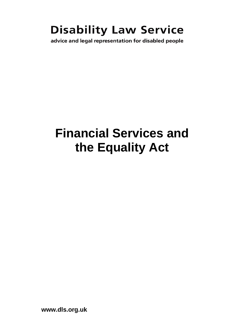# **Disability Law Service**

advice and legal representation for disabled people

# **Financial Services and the Equality Act**

**www.dls.org.uk**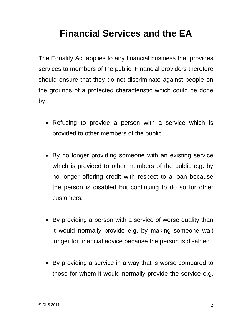# **Financial Services and the EA**

The Equality Act applies to any financial business that provides services to members of the public. Financial providers therefore should ensure that they do not discriminate against people on the grounds of a protected characteristic which could be done by:

- Refusing to provide a person with a service which is provided to other members of the public.
- By no longer providing someone with an existing service which is provided to other members of the public e.g. by no longer offering credit with respect to a loan because the person is disabled but continuing to do so for other customers.
- By providing a person with a service of worse quality than it would normally provide e.g. by making someone wait longer for financial advice because the person is disabled.
- By providing a service in a way that is worse compared to those for whom it would normally provide the service e.g.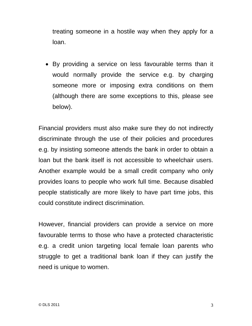treating someone in a hostile way when they apply for a loan.

• By providing a service on less favourable terms than it would normally provide the service e.g. by charging someone more or imposing extra conditions on them (although there are some exceptions to this, please see below).

Financial providers must also make sure they do not indirectly discriminate through the use of their policies and procedures e.g. by insisting someone attends the bank in order to obtain a loan but the bank itself is not accessible to wheelchair users. Another example would be a small credit company who only provides loans to people who work full time. Because disabled people statistically are more likely to have part time jobs, this could constitute indirect discrimination.

However, financial providers can provide a service on more favourable terms to those who have a protected characteristic e.g. a credit union targeting local female loan parents who struggle to get a traditional bank loan if they can justify the need is unique to women.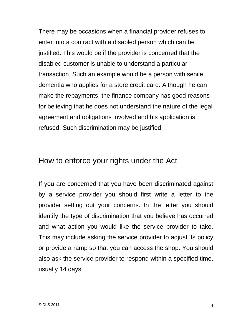There may be occasions when a financial provider refuses to enter into a contract with a disabled person which can be justified. This would be if the provider is concerned that the disabled customer is unable to understand a particular transaction. Such an example would be a person with senile dementia who applies for a store credit card. Although he can make the repayments, the finance company has good reasons for believing that he does not understand the nature of the legal agreement and obligations involved and his application is refused. Such discrimination may be justified.

### How to enforce your rights under the Act

If you are concerned that you have been discriminated against by a service provider you should first write a letter to the provider setting out your concerns. In the letter you should identify the type of discrimination that you believe has occurred and what action you would like the service provider to take. This may include asking the service provider to adjust its policy or provide a ramp so that you can access the shop. You should also ask the service provider to respond within a specified time, usually 14 days.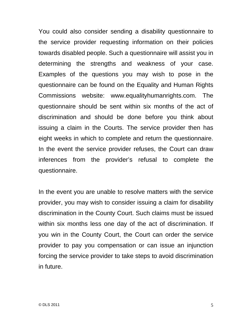You could also consider sending a disability questionnaire to the service provider requesting information on their policies towards disabled people. Such a questionnaire will assist you in determining the strengths and weakness of your case. Examples of the questions you may wish to pose in the questionnaire can be found on the Equality and Human Rights Commissions website: www.equalityhumanrights.com. The questionnaire should be sent within six months of the act of discrimination and should be done before you think about issuing a claim in the Courts. The service provider then has eight weeks in which to complete and return the questionnaire. In the event the service provider refuses, the Court can draw inferences from the provider's refusal to complete the questionnaire.

In the event you are unable to resolve matters with the service provider, you may wish to consider issuing a claim for disability discrimination in the County Court. Such claims must be issued within six months less one day of the act of discrimination. If you win in the County Court, the Court can order the service provider to pay you compensation or can issue an injunction forcing the service provider to take steps to avoid discrimination in future.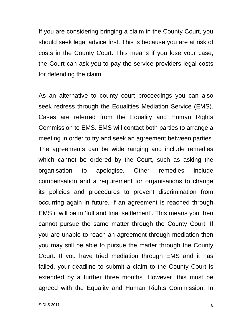If you are considering bringing a claim in the County Court, you should seek legal advice first. This is because you are at risk of costs in the County Court. This means if you lose your case, the Court can ask you to pay the service providers legal costs for defending the claim.

As an alternative to county court proceedings you can also seek redress through the Equalities Mediation Service (EMS). Cases are referred from the Equality and Human Rights Commission to EMS. EMS will contact both parties to arrange a meeting in order to try and seek an agreement between parties. The agreements can be wide ranging and include remedies which cannot be ordered by the Court, such as asking the organisation to apologise. Other remedies include compensation and a requirement for organisations to change its policies and procedures to prevent discrimination from occurring again in future. If an agreement is reached through EMS it will be in 'full and final settlement'. This means you then cannot pursue the same matter through the County Court. If you are unable to reach an agreement through mediation then you may still be able to pursue the matter through the County Court. If you have tried mediation through EMS and it has failed, your deadline to submit a claim to the County Court is extended by a further three months. However, this must be agreed with the Equality and Human Rights Commission. In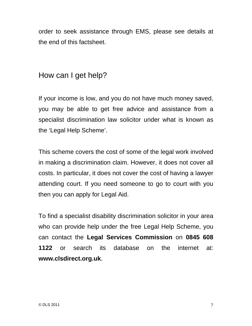order to seek assistance through EMS, please see details at the end of this factsheet.

### How can I get help?

If your income is low, and you do not have much money saved, you may be able to get free advice and assistance from a specialist discrimination law solicitor under what is known as the 'Legal Help Scheme'.

This scheme covers the cost of some of the legal work involved in making a discrimination claim. However, it does not cover all costs. In particular, it does not cover the cost of having a lawyer attending court. If you need someone to go to court with you then you can apply for Legal Aid.

To find a specialist disability discrimination solicitor in your area who can provide help under the free Legal Help Scheme, you can contact the **Legal Services Commission** on **0845 608 1122** or search its database on the internet at: **www.clsdirect.org.uk**.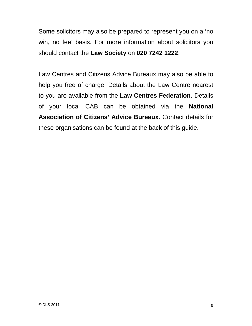Some solicitors may also be prepared to represent you on a 'no win, no fee' basis. For more information about solicitors you should contact the **Law Society** on **020 7242 1222**.

Law Centres and Citizens Advice Bureaux may also be able to help you free of charge. Details about the Law Centre nearest to you are available from the **Law Centres Federation**. Details of your local CAB can be obtained via the **National Association of Citizens' Advice Bureaux**. Contact details for these organisations can be found at the back of this guide.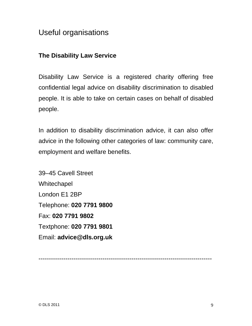## Useful organisations

#### **The Disability Law Service**

Disability Law Service is a registered charity offering free confidential legal advice on disability discrimination to disabled people. It is able to take on certain cases on behalf of disabled people.

In addition to disability discrimination advice, it can also offer advice in the following other categories of law: community care, employment and welfare benefits.

39–45 Cavell Street **Whitechapel** London E1 2BP Telephone: **020 7791 9800** Fax: **020 7791 9802** Textphone: **020 7791 9801** Email: **advice@dls.org.uk**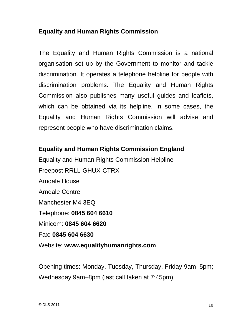#### **Equality and Human Rights Commission**

The Equality and Human Rights Commission is a national organisation set up by the Government to monitor and tackle discrimination. It operates a telephone helpline for people with discrimination problems. The Equality and Human Rights Commission also publishes many useful guides and leaflets, which can be obtained via its helpline. In some cases, the Equality and Human Rights Commission will advise and represent people who have discrimination claims.

#### **Equality and Human Rights Commission England**

Equality and Human Rights Commission Helpline Freepost RRLL-GHUX-CTRX Arndale House Arndale Centre Manchester M4 3EQ Telephone: **0845 604 6610** Minicom: **0845 604 6620** Fax: **0845 604 6630** Website: **www.equalityhumanrights.com** 

Opening times: Monday, Tuesday, Thursday, Friday 9am–5pm; Wednesday 9am–8pm (last call taken at 7:45pm)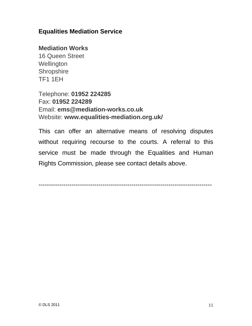#### **Equalities Mediation Service**

#### **Mediation Works**

16 Queen Street **Wellington Shropshire** TF1 1EH

Telephone: **01952 224285**  Fax: **01952 224289** Email: **ems@mediation-works.co.uk**  Website: **www.equalities-mediation.org.uk/** 

This can offer an alternative means of resolving disputes without requiring recourse to the courts. A referral to this service must be made through the Equalities and Human Rights Commission, please see contact details above.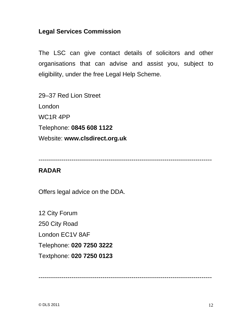#### **Legal Services Commission**

The LSC can give contact details of solicitors and other organisations that can advise and assist you, subject to eligibility, under the free Legal Help Scheme.

29–37 Red Lion Street London WC1R 4PP Telephone: **0845 608 1122** Website: **www.clsdirect.org.uk** 

------------------------------------------------------------------------------------

#### **RADAR**

Offers legal advice on the DDA.

12 City Forum 250 City Road London EC1V 8AF Telephone: **020 7250 3222**  Textphone: **020 7250 0123**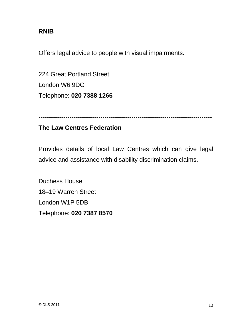#### **RNIB**

Offers legal advice to people with visual impairments.

224 Great Portland Street London W6 9DG Telephone: **020 7388 1266** 

------------------------------------------------------------------------------------

#### **The Law Centres Federation**

Provides details of local Law Centres which can give legal advice and assistance with disability discrimination claims.

Duchess House 18–19 Warren Street London W1P 5DB Telephone: **020 7387 8570**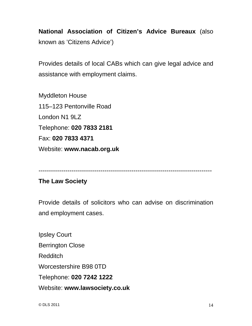**National Association of Citizen's Advice Bureaux** (also known as 'Citizens Advice')

Provides details of local CABs which can give legal advice and assistance with employment claims.

Myddleton House 115–123 Pentonville Road London N1 9LZ Telephone: **020 7833 2181**  Fax: **020 7833 4371**  Website: **www.nacab.org.uk** 

#### **The Law Society**

Provide details of solicitors who can advise on discrimination and employment cases.

Ipsley Court Berrington Close Redditch Worcestershire B98 0TD Telephone: **020 7242 1222**  Website: **www.lawsociety.co.uk** 

<sup>------------------------------------------------------------------------------------</sup>